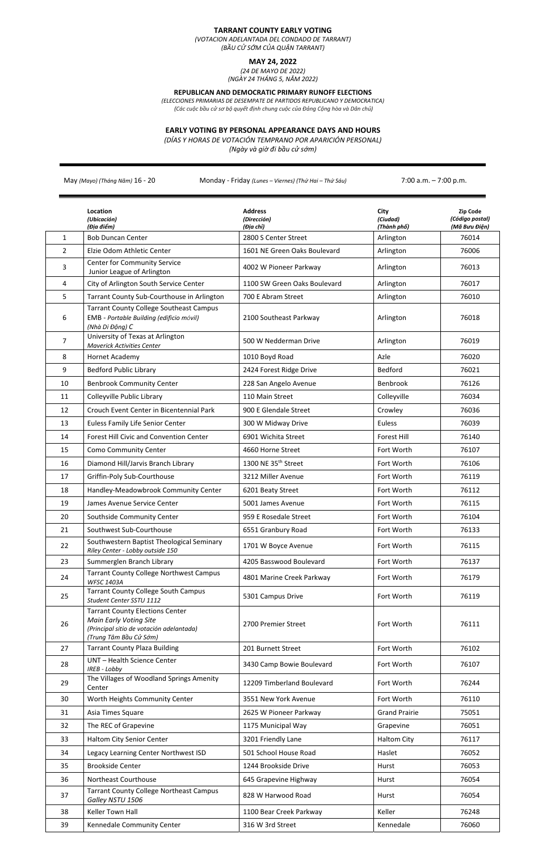## **TARRANT COUNTY EARLY VOTING**

*(VOTACION ADELANTADA DEL CONDADO DE TARRANT)*

# *(BẦU CỬ SỚM CỦA QUẬN TARRANT)*

*(ELECCIONES PRIMARIAS DE DESEMPATE DE PARTIDOS REPUBLICANO Y DEMOCRATICA)* (Các cuộc bầu cử sơ bộ quyết định chung cuộc của Đảng Cộng hòa và Dân chủ)

# **MAY 24, 2022**

*(24 DE MAYO DE 2022)*

*(NGÀY 24 THÁNG 5, NĂM 2022)*

#### **REPUBLICAN AND DEMOCRATIC PRIMARY RUNOFF ELECTIONS**

## **EARLY VOTING BY PERSONAL APPEARANCE DAYS AND HOURS**

*(DÍAS Y HORAS DE VOTACIÓN TEMPRANO POR APARICIÓN PERSONAL) (Ngày và giờ đi bầu cử sớm)*

May *(Mayo) (Tháng Năm)* 16 ‐ 20 Monday ‐ Friday *(Lunes – Viernes) (Thứ Hai – Thứ Sáu)* 7:00 a.m. – 7:00 p.m.

|                | Location<br>(Ubicación)<br>(Địa điểm)                                                                                                  | <b>Address</b><br>(Dirección)<br>(Địa chỉ) | City<br>(Ciudad)<br>(Thành phố) | <b>Zip Code</b><br>(Código postal)<br>(Mã Bưu Điện) |
|----------------|----------------------------------------------------------------------------------------------------------------------------------------|--------------------------------------------|---------------------------------|-----------------------------------------------------|
| 1              | <b>Bob Duncan Center</b>                                                                                                               | 2800 S Center Street                       | Arlington                       | 76014                                               |
| $\overline{2}$ | Elzie Odom Athletic Center                                                                                                             | 1601 NE Green Oaks Boulevard               | Arlington                       | 76006                                               |
| 3              | <b>Center for Community Service</b><br>Junior League of Arlington                                                                      | 4002 W Pioneer Parkway                     | Arlington                       | 76013                                               |
| 4              | City of Arlington South Service Center                                                                                                 | 1100 SW Green Oaks Boulevard               | Arlington                       | 76017                                               |
| 5              | Tarrant County Sub-Courthouse in Arlington                                                                                             | 700 E Abram Street                         | Arlington                       | 76010                                               |
| 6              | <b>Tarrant County College Southeast Campus</b><br>EMB - Portable Building (edificio móvil)<br>(Nhà Di Động) C                          | 2100 Southeast Parkway                     | Arlington                       | 76018                                               |
| $\overline{7}$ | University of Texas at Arlington<br><b>Maverick Activities Center</b>                                                                  | 500 W Nedderman Drive                      | Arlington                       | 76019                                               |
| 8              | Hornet Academy                                                                                                                         | 1010 Boyd Road                             | Azle                            | 76020                                               |
| 9              | <b>Bedford Public Library</b>                                                                                                          | 2424 Forest Ridge Drive                    | Bedford                         | 76021                                               |
| 10             | <b>Benbrook Community Center</b>                                                                                                       | 228 San Angelo Avenue                      | Benbrook                        | 76126                                               |
| 11             | Colleyville Public Library                                                                                                             | 110 Main Street                            | Colleyville                     | 76034                                               |
| 12             | Crouch Event Center in Bicentennial Park                                                                                               | 900 E Glendale Street                      | Crowley                         | 76036                                               |
| 13             | <b>Euless Family Life Senior Center</b>                                                                                                | 300 W Midway Drive                         | Euless                          | 76039                                               |
| 14             | <b>Forest Hill Civic and Convention Center</b>                                                                                         | 6901 Wichita Street                        | Forest Hill                     | 76140                                               |
| 15             | Como Community Center                                                                                                                  | 4660 Horne Street                          | Fort Worth                      | 76107                                               |
| 16             | Diamond Hill/Jarvis Branch Library                                                                                                     | 1300 NE 35 <sup>th</sup> Street            | Fort Worth                      | 76106                                               |
| 17             | Griffin-Poly Sub-Courthouse                                                                                                            | 3212 Miller Avenue                         | Fort Worth                      | 76119                                               |
| 18             | Handley-Meadowbrook Community Center                                                                                                   | 6201 Beaty Street                          | Fort Worth                      | 76112                                               |
| 19             | James Avenue Service Center                                                                                                            | 5001 James Avenue                          | Fort Worth                      | 76115                                               |
| 20             | Southside Community Center                                                                                                             | 959 E Rosedale Street                      | Fort Worth                      | 76104                                               |
| 21             | Southwest Sub-Courthouse                                                                                                               | 6551 Granbury Road                         | Fort Worth                      | 76133                                               |
| 22             | Southwestern Baptist Theological Seminary<br>Riley Center - Lobby outside 150                                                          | 1701 W Boyce Avenue                        | Fort Worth                      | 76115                                               |
| 23             | Summerglen Branch Library                                                                                                              | 4205 Basswood Boulevard                    | Fort Worth                      | 76137                                               |
| 24             | <b>Tarrant County College Northwest Campus</b><br><b>WFSC 1403A</b>                                                                    | 4801 Marine Creek Parkway                  | Fort Worth                      | 76179                                               |
| 25             | <b>Tarrant County College South Campus</b><br>Student Center SSTU 1112                                                                 | 5301 Campus Drive                          | Fort Worth                      | 76119                                               |
| 26             | <b>Tarrant County Elections Center</b><br>Main Early Voting Site<br>(Principal sitio de votación adelantada)<br>(Trung Tâm Bầu Cử Sớm) | 2700 Premier Street                        | Fort Worth                      | 76111                                               |
| 27             | <b>Tarrant County Plaza Building</b>                                                                                                   | 201 Burnett Street                         | Fort Worth                      | 76102                                               |
| 28             | UNT - Health Science Center<br>IREB - Lobby                                                                                            | 3430 Camp Bowie Boulevard                  | Fort Worth                      | 76107                                               |
| 29             | The Villages of Woodland Springs Amenity<br>Center                                                                                     | 12209 Timberland Boulevard                 | Fort Worth                      | 76244                                               |
| 30             | Worth Heights Community Center                                                                                                         | 3551 New York Avenue                       | Fort Worth                      | 76110                                               |
| 31             | Asia Times Square                                                                                                                      | 2625 W Pioneer Parkway                     | <b>Grand Prairie</b>            | 75051                                               |
| 32             | The REC of Grapevine                                                                                                                   | 1175 Municipal Way                         | Grapevine                       | 76051                                               |
| 33             | <b>Haltom City Senior Center</b>                                                                                                       | 3201 Friendly Lane                         | <b>Haltom City</b>              | 76117                                               |
| 34             | Legacy Learning Center Northwest ISD                                                                                                   | 501 School House Road                      | Haslet                          | 76052                                               |
| 35             | <b>Brookside Center</b>                                                                                                                | 1244 Brookside Drive                       | Hurst                           | 76053                                               |
| 36             | <b>Northeast Courthouse</b>                                                                                                            | 645 Grapevine Highway                      | Hurst                           | 76054                                               |
| 37             | <b>Tarrant County College Northeast Campus</b><br>Galley NSTU 1506                                                                     | 828 W Harwood Road                         | Hurst                           | 76054                                               |
| 38             | Keller Town Hall                                                                                                                       | 1100 Bear Creek Parkway                    | Keller                          | 76248                                               |
| 39             | Kennedale Community Center                                                                                                             | 316 W 3rd Street                           | Kennedale                       | 76060                                               |